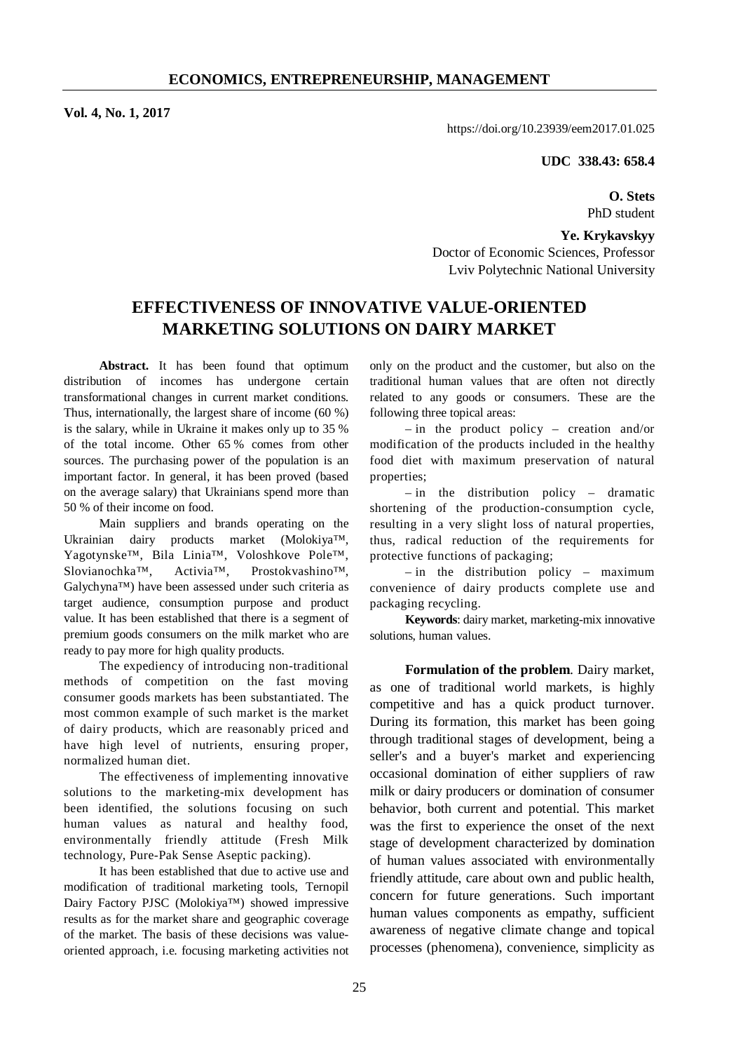**Vol. 4, No. 1, 2017** 

https://doi.org/10.23939/eem2017.01.025

**UDC 338.43: 658.4** 

**O. Stets**  PhD student

**Ye. Krykavskyy**  Doctor of Economic Sciences, Professor Lviv Polytechnic National University

# **EFFECTIVENESS OF INNOVATIVE VALUE-ORIENTED MARKETING SOLUTIONS ON DAIRY MARKET**

Abstract. It has been found that optimum distribution of incomes has undergone certain transformational changes in current market conditions. Thus, internationally, the largest share of income (60 %) is the salary, while in Ukraine it makes only up to 35 % of the total income. Other 65 % comes from other sources. The purchasing power of the population is an important factor. In general, it has been proved (based on the average salary) that Ukrainians spend more than 50 % of their income on food.

Main suppliers and brands operating on the Ukrainian dairy products market (Molokiya™, Yagotynske™, Bila Linia™, Voloshkove Pole™, Slovianochka™, Activia™, Prostokvashino™, Galychyna™) have been assessed under such criteria as target audience, consumption purpose and product value. It has been established that there is a segment of premium goods consumers on the milk market who are ready to pay more for high quality products.

The expediency of introducing non-traditional methods of competition on the fast moving consumer goods markets has been substantiated. The most common example of such market is the market of dairy products, which are reasonably priced and have high level of nutrients, ensuring proper, normalized human diet.

The effectiveness of implementing innovative solutions to the marketing-mix development has been identified, the solutions focusing on such human values as natural and healthy food, environmentally friendly attitude (Fresh Milk technology, Pure-Pak Sense Aseptic packing).

It has been established that due to active use and modification of traditional marketing tools, Ternopil Dairy Factory PJSC (Molokiya™) showed impressive results as for the market share and geographic coverage of the market. The basis of these decisions was valueoriented approach, i.e. focusing marketing activities not

only on the product and the customer, but also on the traditional human values that are often not directly related to any goods or consumers. These are the following three topical areas:

– in the product policy – creation and/or modification of the products included in the healthy food diet with maximum preservation of natural properties;

– in the distribution policy – dramatic shortening of the production-consumption cycle, resulting in a very slight loss of natural properties, thus, radical reduction of the requirements for protective functions of packaging;

– in the distribution policy – maximum convenience of dairy products complete use and packaging recycling.

**Keywords**: dairy market, marketing-mix innovative solutions, human values.

**Formulation of the problem**. Dairy market, as one of traditional world markets, is highly competitive and has a quick product turnover. During its formation, this market has been going through traditional stages of development, being a seller's and a buyer's market and experiencing occasional domination of either suppliers of raw milk or dairy producers or domination of consumer behavior, both current and potential. This market was the first to experience the onset of the next stage of development characterized by domination of human values associated with environmentally friendly attitude, care about own and public health, concern for future generations. Such important human values components as empathy, sufficient awareness of negative climate change and topical processes (phenomena), convenience, simplicity as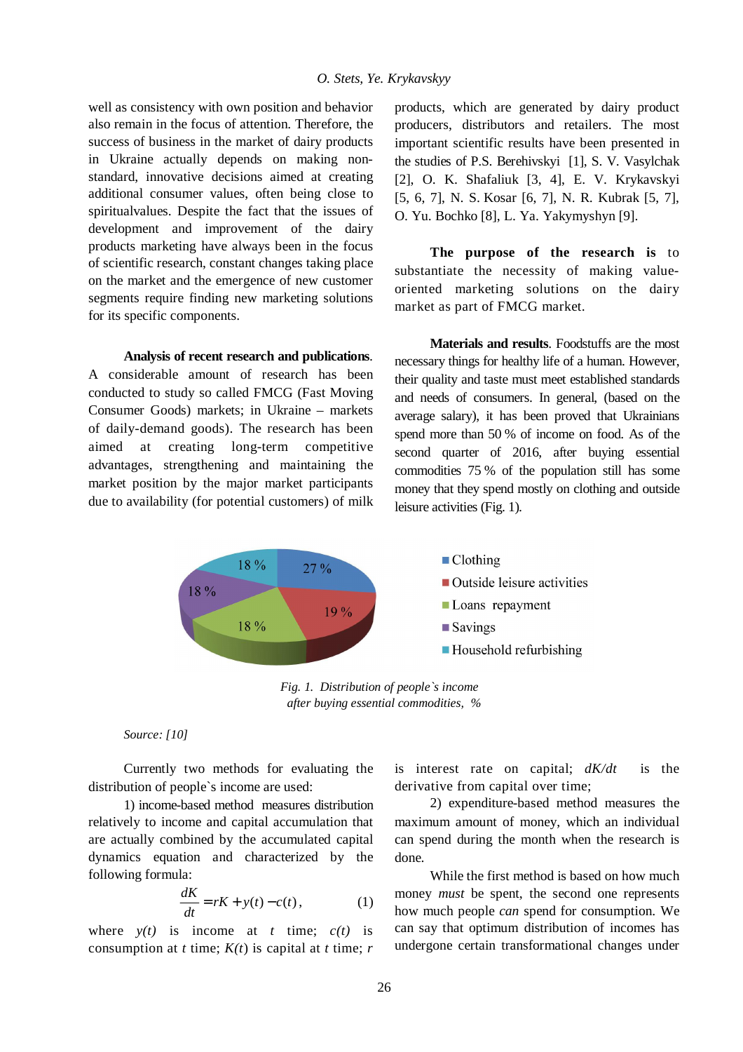### *O. Stets, Ye. Krykavskyy*

well as consistency with own position and behavior also remain in the focus of attention. Therefore, the success of business in the market of dairy products in Ukraine actually depends on making nonstandard, innovative decisions aimed at creating additional consumer values, often being close to spiritualvalues. Despite the fact that the issues of development and improvement of the dairy products marketing have always been in the focus of scientific research, constant changes taking place on the market and the emergence of new customer segments require finding new marketing solutions for its specific components.

### **Analysis of recent research and publications**.

A considerable amount of research has been conducted to study so called FMCG (Fast Moving Consumer Goods) markets; in Ukraine – markets of daily-demand goods). The research has been aimed at creating long-term competitive advantages, strengthening and maintaining the market position by the major market participants due to availability (for potential customers) of milk

products, which are generated by dairy product producers, distributors and retailers. The most important scientific results have been presented in the studies of P.S. Berehivskyi [1], S. V. Vasylchak [2], O. K. Shafaliuk [3, 4], E. V. Krykavskyi [5, 6, 7], N. S. Kosar [6, 7], N. R. Kubrak [5, 7], O. Yu. Bochko [8], L. Ya. Yakymyshyn [9].

**The purpose of the research is** to substantiate the necessity of making valueoriented marketing solutions on the dairy market as part of FMCG market.

**Materials and results**. Foodstuffs are the most necessary things for healthy life of a human. However, their quality and taste must meet established standards and needs of consumers. In general, (based on the average salary), it has been proved that Ukrainians spend more than 50 % of income on food. As of the second quarter of 2016, after buying essential commodities 75 % of the population still has some money that they spend mostly on clothing and outside leisure activities (Fig. 1).



*Fig. 1. Distribution of people`s income after buying essential commodities, %* 

## *Source: [10]*

Currently two methods for evaluating the distribution of people`s income are used:

1) income-based method measures distribution relatively to income and capital accumulation that are actually combined by the accumulated capital dynamics equation and characterized by the following formula:

$$
\frac{dK}{dt} = rK + y(t) - c(t),\tag{1}
$$

where  $y(t)$  is income at *t* time;  $c(t)$  is consumption at *t* time;  $K(t)$  is capital at *t* time; *r*  is interest rate on capital; *dK/dt* is the derivative from capital over time;

2) expenditure-based method measures the maximum amount of money, which an individual can spend during the month when the research is done.

While the first method is based on how much money *must* be spent, the second one represents how much people *can* spend for consumption. We can say that optimum distribution of incomes has undergone certain transformational changes under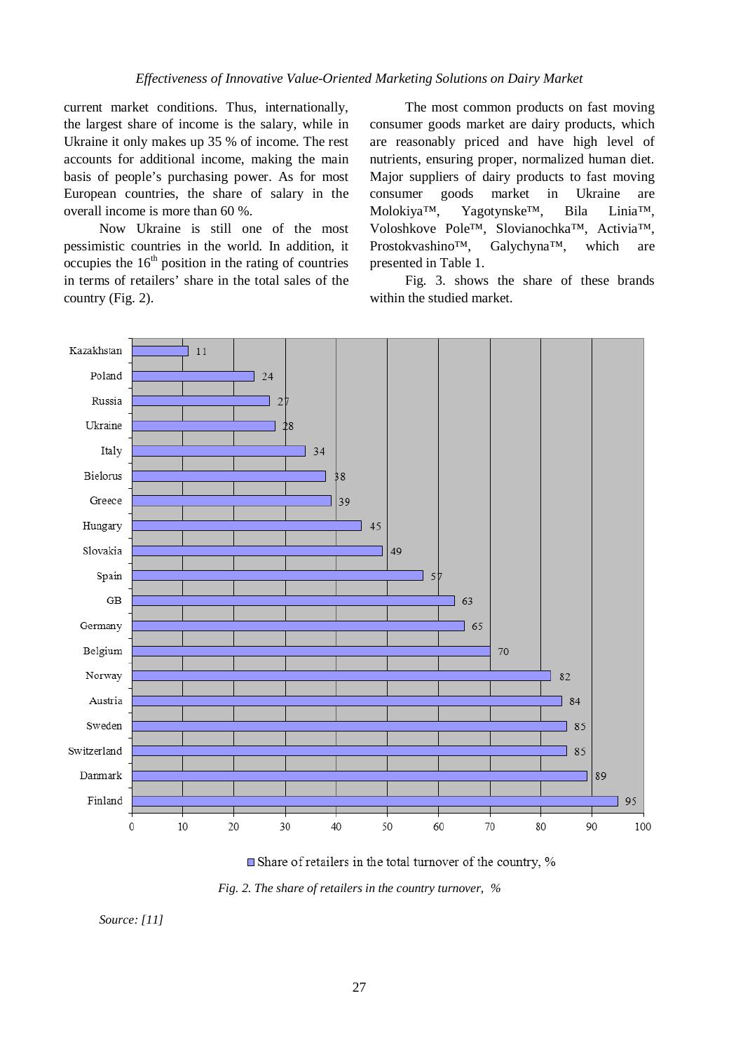# *Effectiveness of Innovative Value-Oriented Marketing Solutions on Dairy Market*

current market conditions. Thus, internationally, the largest share of income is the salary, while in Ukraine it only makes up 35 % of income. The rest accounts for additional income, making the main basis of people's purchasing power. As for most European countries, the share of salary in the overall income is more than 60 %.

Now Ukraine is still one of the most pessimistic countries in the world. In addition, it occupies the  $16<sup>th</sup>$  position in the rating of countries in terms of retailers' share in the total sales of the country (Fig. 2).

The most common products on fast moving consumer goods market are dairy products, which are reasonably priced and have high level of nutrients, ensuring proper, normalized human diet. Major suppliers of dairy products to fast moving consumer goods market in Ukraine are Molokiya™, Yagotynske™, Bila Linia™, Voloshkove Pole™, Slovianochka™, Activia™, Prostokvashino™, Galychyna™, which are presented in Table 1.

Fig. 3. shows the share of these brands within the studied market.



■ Share of retailers in the total turnover of the country, %

*Fig. 2. The share of retailers in the country turnover, %* 

*Source: [11]*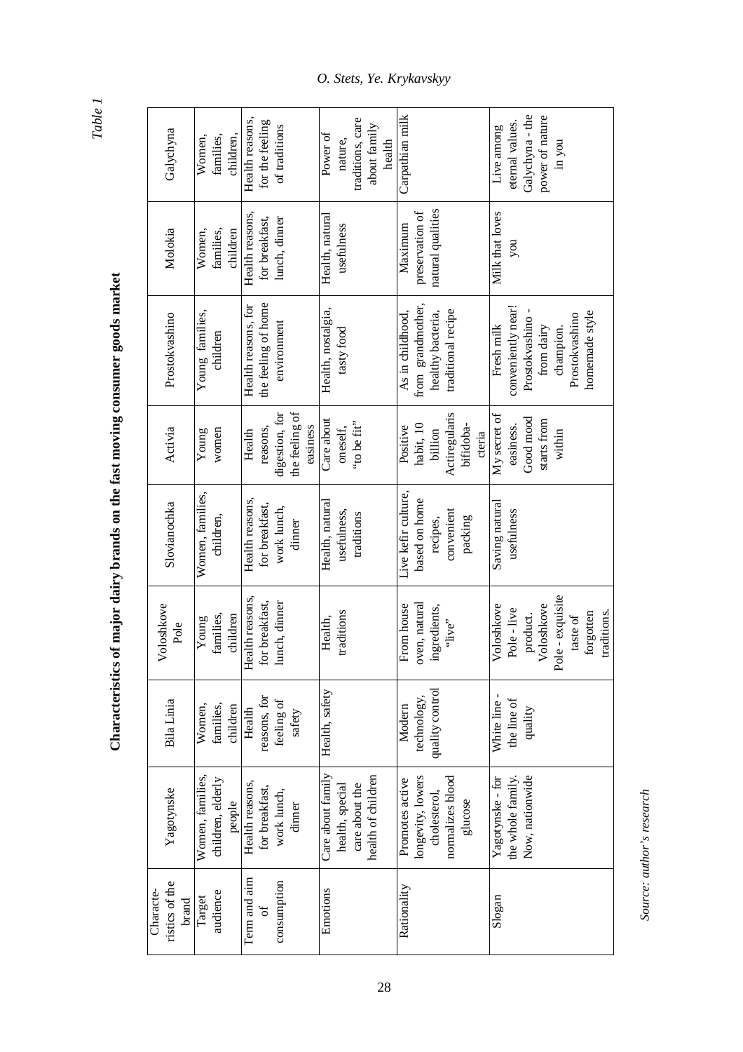*Table 1*

# Characteristics of major dairy brands on the fast moving consumer goods market **Characteristics of major dairy brands on the fast moving consumer goods market**

| Galychyna                            | Women,<br>children,<br>families,                | Health reasons,<br>for the feeling<br>of traditions                | traditions, care<br>about family<br>Power of<br>nature,<br>health            | Carpathian milk                                                                     | Galychyna - the<br>power of nature<br>eternal values.<br>Live among<br>in you                                        |
|--------------------------------------|-------------------------------------------------|--------------------------------------------------------------------|------------------------------------------------------------------------------|-------------------------------------------------------------------------------------|----------------------------------------------------------------------------------------------------------------------|
| Molokia                              | Women,<br>children<br>families,                 | Health reasons,<br>for breakfast,<br>lunch, dinner                 | Health, natural<br>usefulness                                                | natural qualities<br>preservation of<br>Maximum                                     | Milk that loves<br>hoń                                                                                               |
| Prostokvashino                       | Young families,<br>children                     | the feeling of home<br>Health reasons, for<br>environment          | Health, nostalgia,<br>tasty food                                             | from grandmother,<br>traditional recipe<br>As in childhood,<br>healthy bacteria,    | conveniently near!<br>homemade style<br>Prostokvashino<br>Prostokvashino<br>Fresh milk<br>from dairy<br>champion.    |
| Activia                              | women<br>Young                                  | the feeling of<br>digestion, for<br>easiness<br>reasons,<br>Health | Care about<br>"to be fit"<br>oneself,                                        | Actiregularis<br>habit, 10<br>bifidoba-<br>Positive<br>billion<br>cteria            | My secret of<br>Good mood<br>starts from<br>easiness.<br>within                                                      |
| Slovianochka                         | Women, families,<br>children,                   | Health reasons,<br>for breakfast,<br>work lunch,<br>dinner         | Health, natural<br>usefulness,<br>traditions                                 | Live kefir culture,<br>based on home<br>convenient<br>packing<br>recipes,           | Saving natural<br>usefulness                                                                                         |
| Voloshkove<br>Pole                   | families,<br>children<br>Young                  | Health reasons,<br>for breakfast,<br>lunch, dinner                 | traditions<br>Health,                                                        | oven, natural<br>From house<br>ingredients,<br>"live"                               | Pole - exquisite<br>Voloshkove<br>Voloshkove<br>Pole - live<br>traditions.<br>forgotten<br>product.<br>taste of $\,$ |
| Bila Linia                           | Women,<br>families,<br>children                 | reasons, for<br>feeling of<br>Health<br>safety                     | Health, safety                                                               | quality control<br>technology,<br>Modern                                            | White line-<br>the line of<br>quality                                                                                |
| Yagotynske                           | Women, families,<br>children, elderly<br>people | Health reasons,<br>for breakfast,<br>work lunch,<br>dinner         | Care about family<br>health of children<br>care about the<br>health, special | longevity, lowers<br>normalizes blood<br>Promotes active<br>cholesterol,<br>glucose | the whole family.<br>Now, nationwide<br>Yagotynske - for                                                             |
| ristics of the<br>Characte-<br>brand | audience<br>Target                              | Term and aim<br>consumption<br>ЪÇ                                  | Emotions                                                                     | Rationality                                                                         | Slogan                                                                                                               |

28

Source: author's research *Source: author's research*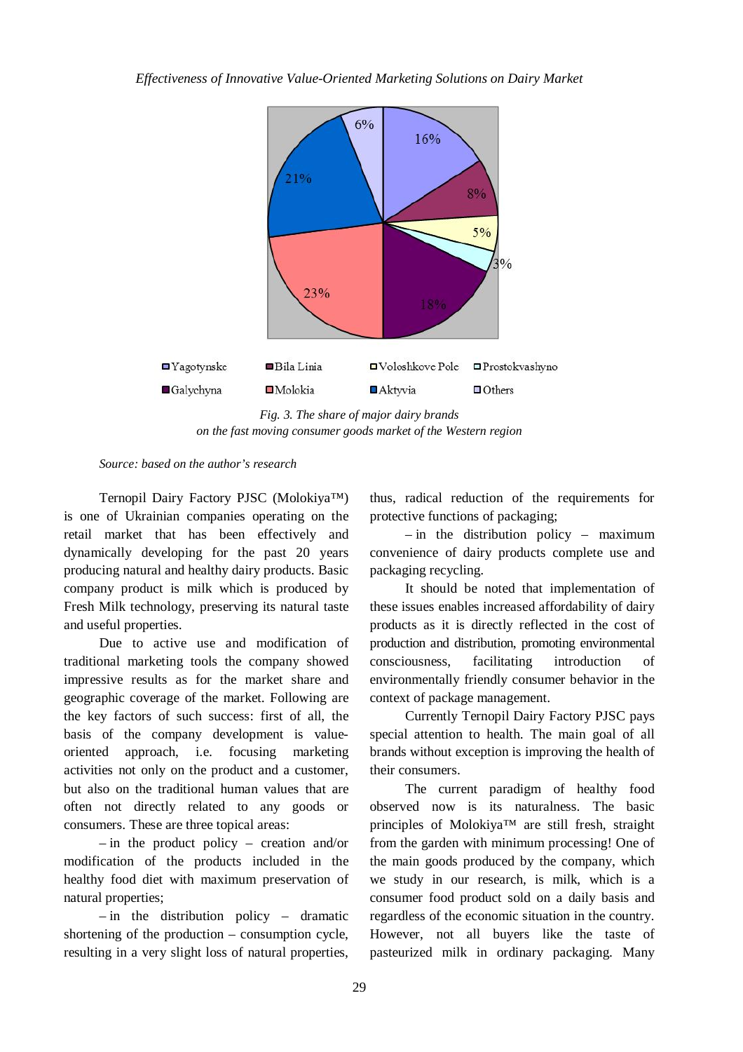

*Fig. 3. The share of major dairy brands on the fast moving consumer goods market of the Western region* 

*Source: based on the author's research* 

Ternopil Dairy Factory PJSC (Molokiya™) is one of Ukrainian companies operating on the retail market that has been effectively and dynamically developing for the past 20 years producing natural and healthy dairy products. Basic company product is milk which is produced by Fresh Milk technology, preserving its natural taste and useful properties.

Due to active use and modification of traditional marketing tools the company showed impressive results as for the market share and geographic coverage of the market. Following are the key factors of such success: first of all, the basis of the company development is valueoriented approach, i.e. focusing marketing activities not only on the product and a customer, but also on the traditional human values that are often not directly related to any goods or consumers. These are three topical areas:

– in the product policy – creation and/or modification of the products included in the healthy food diet with maximum preservation of natural properties;

– in the distribution policy – dramatic shortening of the production – consumption cycle, resulting in a very slight loss of natural properties, thus, radical reduction of the requirements for protective functions of packaging;

– in the distribution policy – maximum convenience of dairy products complete use and packaging recycling.

It should be noted that implementation of these issues enables increased affordability of dairy products as it is directly reflected in the cost of production and distribution, promoting environmental consciousness, facilitating introduction of environmentally friendly consumer behavior in the context of package management.

Currently Ternopil Dairy Factory PJSC pays special attention to health. The main goal of all brands without exception is improving the health of their consumers.

The current paradigm of healthy food observed now is its naturalness. The basic principles of Molokiya™ are still fresh, straight from the garden with minimum processing! One of the main goods produced by the company, which we study in our research, is milk, which is a consumer food product sold on a daily basis and regardless of the economic situation in the country. However, not all buyers like the taste of pasteurized milk in ordinary packaging. Many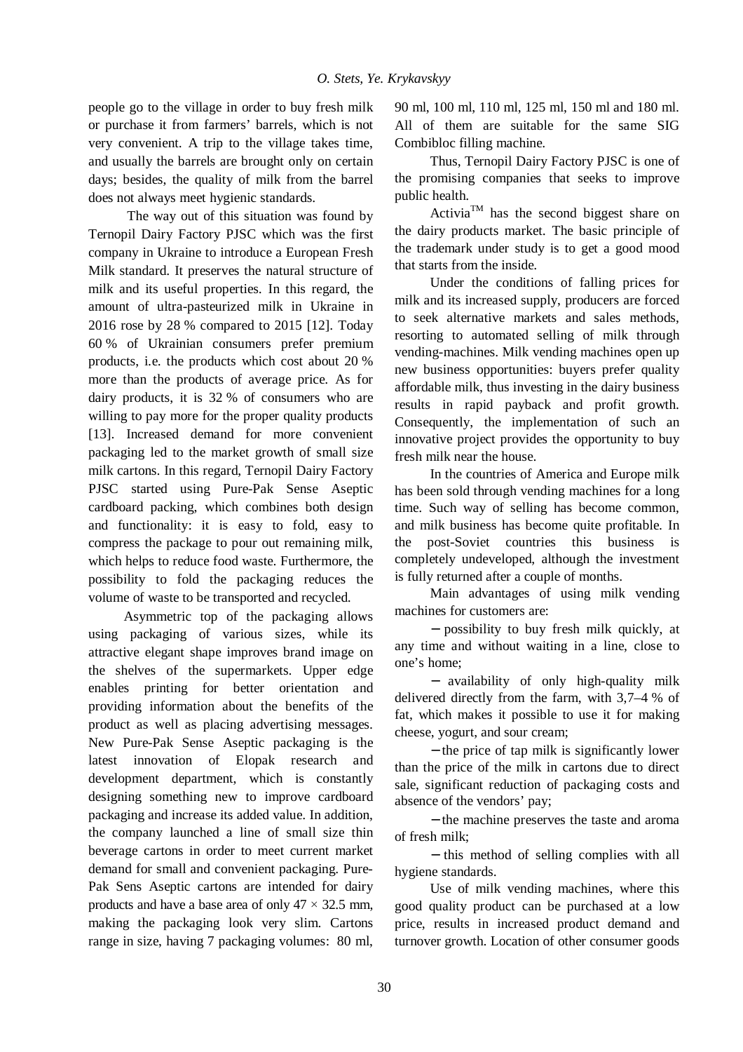people go to the village in order to buy fresh milk or purchase it from farmers' barrels, which is not very convenient. A trip to the village takes time, and usually the barrels are brought only on certain days; besides, the quality of milk from the barrel does not always meet hygienic standards.

The way out of this situation was found by Ternopil Dairy Factory PJSC which was the first company in Ukraine to introduce a European Fresh Milk standard. It preserves the natural structure of milk and its useful properties. In this regard, the amount of ultra-pasteurized milk in Ukraine in 2016 rose by 28 % compared to 2015 [12]. Today 60 % of Ukrainian consumers prefer premium products, i.e. the products which cost about 20 % more than the products of average price. As for dairy products, it is 32 % of consumers who are willing to pay more for the proper quality products [13]. Increased demand for more convenient packaging led to the market growth of small size milk cartons. In this regard, Ternopil Dairy Factory PJSC started using Pure-Pak Sense Aseptic cardboard packing, which combines both design and functionality: it is easy to fold, easy to compress the package to pour out remaining milk, which helps to reduce food waste. Furthermore, the possibility to fold the packaging reduces the volume of waste to be transported and recycled.

Asymmetric top of the packaging allows using packaging of various sizes, while its attractive elegant shape improves brand image on the shelves of the supermarkets. Upper edge enables printing for better orientation and providing information about the benefits of the product as well as placing advertising messages. New Pure-Pak Sense Aseptic packaging is the latest innovation of Elopak research and development department, which is constantly designing something new to improve cardboard packaging and increase its added value. In addition, the company launched a line of small size thin beverage cartons in order to meet current market demand for small and convenient packaging. Pure-Pak Sens Aseptic cartons are intended for dairy products and have a base area of only  $47 \times 32.5$  mm, making the packaging look very slim. Cartons range in size, having 7 packaging volumes: 80 ml,

90 ml, 100 ml, 110 ml, 125 ml, 150 ml and 180 ml. All of them are suitable for the same SIG Combibloc filling machine.

Thus, Ternopil Dairy Factory PJSC is one of the promising companies that seeks to improve public health.

Activia<sup>TM</sup> has the second biggest share on the dairy products market. The basic principle of the trademark under study is to get a good mood that starts from the inside.

Under the conditions of falling prices for milk and its increased supply, producers are forced to seek alternative markets and sales methods, resorting to automated selling of milk through vending-machines. Milk vending machines open up new business opportunities: buyers prefer quality affordable milk, thus investing in the dairy business results in rapid payback and profit growth. Consequently, the implementation of such an innovative project provides the opportunity to buy fresh milk near the house.

In the countries of America and Europe milk has been sold through vending machines for a long time. Such way of selling has become common, and milk business has become quite profitable. In the post-Soviet countries this business is completely undeveloped, although the investment is fully returned after a couple of months.

Main advantages of using milk vending machines for customers are:

− possibility to buy fresh milk quickly, at any time and without waiting in a line, close to one's home;

− availability of only high-quality milk delivered directly from the farm, with 3,7–4 % of fat, which makes it possible to use it for making cheese, yogurt, and sour cream;

− the price of tap milk is significantly lower than the price of the milk in cartons due to direct sale, significant reduction of packaging costs and absence of the vendors' pay;

− the machine preserves the taste and aroma of fresh milk;

− this method of selling complies with all hygiene standards.

Use of milk vending machines, where this good quality product can be purchased at a low price, results in increased product demand and turnover growth. Location of other consumer goods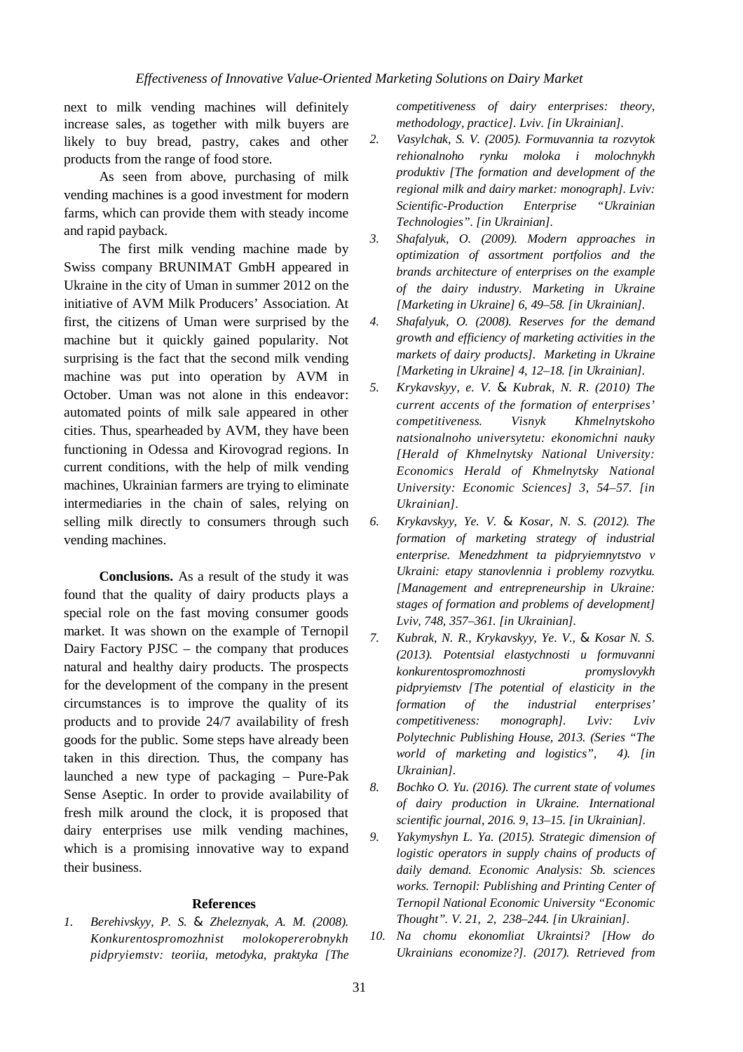next to milk vending machines will definitely increase sales, as together with milk buyers are likely to buy bread, pastry, cakes and other products from the range of food store.

As seen from above, purchasing of milk vending machines is a good investment for modern farms, which can provide them with steady income and rapid payback.

The first milk vending machine made by Swiss company BRUNIMAT GmbH appeared in Ukraine in the city of Uman in summer 2012 on the initiative of AVM Milk Producers' Association. At first, the citizens of Uman were surprised by the machine but it quickly gained popularity. Not surprising is the fact that the second milk vending machine was put into operation by AVM in October. Uman was not alone in this endeavor: automated points of milk sale appeared in other cities. Thus, spearheaded by AVM, they have been functioning in Odessa and Kirovograd regions. In current conditions, with the help of milk vending machines, Ukrainian farmers are trying to eliminate intermediaries in the chain of sales, relying on selling milk directly to consumers through such vending machines.

**Conclusions.** As a result of the study it was found that the quality of dairy products plays a special role on the fast moving consumer goods market. It was shown on the example of Ternopil Dairy Factory PJSC – the company that produces natural and healthy dairy products. The prospects for the development of the company in the present circumstances is to improve the quality of its products and to provide 24/7 availability of fresh goods for the public. Some steps have already been taken in this direction. Thus, the company has launched a new type of packaging – Pure-Pak Sense Aseptic. In order to provide availability of fresh milk around the clock, it is proposed that dairy enterprises use milk vending machines, which is a promising innovative way to expand their business.

### **References**

*1. Berehivskyy, P. S. & Zheleznyak, A. M. (2008). Konkurentospromozhnist molokopererobnykh pidpryiemstv: teoriia, metodyka, praktyka [The*  *competitiveness of dairy enterprises: theory, methodology, practice]. Lviv. [in Ukrainian].* 

- *2. Vasylchak, S. V. (2005). Formuvannia ta rozvytok rehionalnoho rynku moloka i molochnykh produktiv [The formation and development of the regional milk and dairy market: monograph]. Lviv: Scientific-Production Enterprise "Ukrainian Technologies". [in Ukrainian].*
- *3. Shafalyuk, O. (2009). Modern approaches in optimization of assortment portfolios and the brands architecture of enterprises on the example of the dairy industry. Marketing in Ukraine [Marketing in Ukraine] 6, 49–58. [in Ukrainian].*
- *4. Shafalyuk, O. (2008). Reserves for the demand growth and efficiency of marketing activities in the markets of dairy products]. Marketing in Ukraine [Marketing in Ukraine] 4, 12–18. [in Ukrainian].*
- *5. Krykavskyy, e. V. & Kubrak, N. R. (2010) The current accents of the formation of enterprises' competitiveness. Visnyk Khmelnytskoho natsionalnoho universytetu: ekonomichni nauky [Herald of Khmelnytsky National University: Economics Herald of Khmelnytsky National University: Economic Sciences] 3, 54–57. [in Ukrainian].*
- *6. Krykavskyy, Ye. V. & Kosar, N. S. (2012). The formation of marketing strategy of industrial enterprise. Menedzhment ta pidpryiemnytstvo v Ukraini: etapy stanovlennia i problemy rozvytku. [Management and entrepreneurship in Ukraine: stages of formation and problems of development] Lviv, 748, 357–361. [in Ukrainian].*
- *7. Kubrak, N. R., Krykavskyy, Ye. V., & Kosar N. S. (2013). Potentsial elastychnosti u formuvanni konkurentospromozhnosti promyslovykh pidpryiemstv [The potential of elasticity in the formation of the industrial enterprises' competitiveness: monograph]. Lviv: Lviv Polytechnic Publishing House, 2013. (Series "The world of marketing and logistics", 4). [in Ukrainian].*
- *8. Bochko O. Yu. (2016). The current state of volumes of dairy production in Ukraine. International scientific journal, 2016. 9, 13–15. [in Ukrainian].*
- *9. Yakymyshyn L. Ya. (2015). Strategic dimension of logistic operators in supply chains of products of daily demand. Economic Analysis: Sb. sciences works. Ternopil: Publishing and Printing Center of Ternopil National Economic University "Economic Thought". V. 21, 2, 238–244. [in Ukrainian].*
- *10. Na chomu ekonomliat Ukraintsi? [How do Ukrainians economize?]. (2017). Retrieved from*